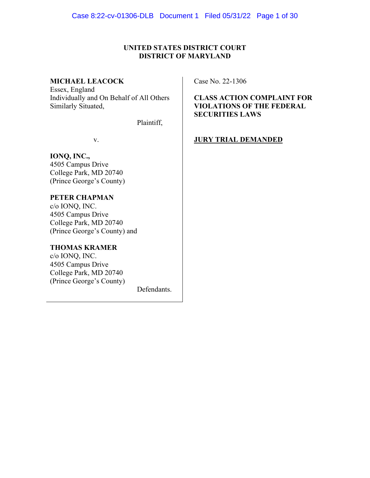## **UNITED STATES DISTRICT COURT DISTRICT OF MARYLAND**

### **MICHAEL LEACOCK**

Essex, England Individually and On Behalf of All Others Similarly Situated,

Plaintiff,

v.

# **IONQ, INC.,**

4505 Campus Drive College Park, MD 20740 (Prince George's County)

## **PETER CHAPMAN**

c/o IONQ, INC. 4505 Campus Drive College Park, MD 20740 (Prince George's County) and

### **THOMAS KRAMER**

c/o IONQ, INC. 4505 Campus Drive College Park, MD 20740 (Prince George's County)

Defendants.

Case No. 22-1306

**CLASS ACTION COMPLAINT FOR VIOLATIONS OF THE FEDERAL SECURITIES LAWS**

## **JURY TRIAL DEMANDED**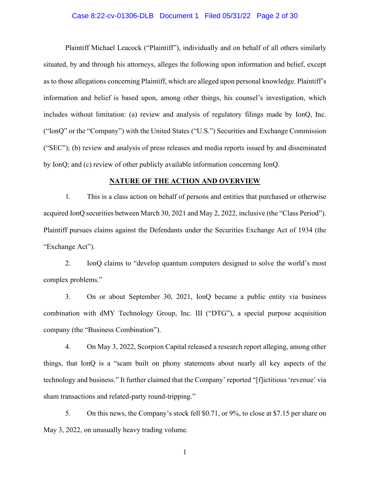#### Case 8:22-cv-01306-DLB Document 1 Filed 05/31/22 Page 2 of 30

Plaintiff Michael Leacock ("Plaintiff"), individually and on behalf of all others similarly situated, by and through his attorneys, alleges the following upon information and belief, except as to those allegations concerning Plaintiff, which are alleged upon personal knowledge. Plaintiff's information and belief is based upon, among other things, his counsel's investigation, which includes without limitation: (a) review and analysis of regulatory filings made by IonQ, Inc. ("IonQ" or the "Company") with the United States ("U.S.") Securities and Exchange Commission ("SEC"); (b) review and analysis of press releases and media reports issued by and disseminated by IonQ; and (c) review of other publicly available information concerning IonQ.

#### **NATURE OF THE ACTION AND OVERVIEW**

1. This is a class action on behalf of persons and entities that purchased or otherwise acquired IonQ securities between March 30, 2021 and May 2, 2022, inclusive (the "Class Period"). Plaintiff pursues claims against the Defendants under the Securities Exchange Act of 1934 (the "Exchange Act").

2. IonQ claims to "develop quantum computers designed to solve the world's most complex problems."

3. On or about September 30, 2021, IonQ became a public entity via business combination with dMY Technology Group, Inc. III ("DTG"), a special purpose acquisition company (the "Business Combination").

4. On May 3, 2022, Scorpion Capital released a research report alleging, among other things, that IonQ is a "scam built on phony statements about nearly all key aspects of the technology and business." It further claimed that the Company' reported "[f]ictitious 'revenue' via sham transactions and related-party round-tripping."

5. On this news, the Company's stock fell \$0.71, or 9%, to close at \$7.15 per share on May 3, 2022, on unusually heavy trading volume.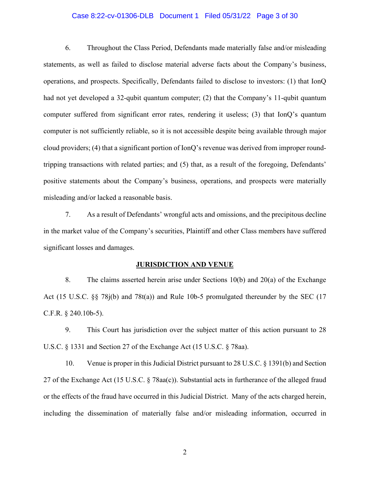#### Case 8:22-cv-01306-DLB Document 1 Filed 05/31/22 Page 3 of 30

6. Throughout the Class Period, Defendants made materially false and/or misleading statements, as well as failed to disclose material adverse facts about the Company's business, operations, and prospects. Specifically, Defendants failed to disclose to investors: (1) that IonQ had not yet developed a 32-qubit quantum computer; (2) that the Company's 11-qubit quantum computer suffered from significant error rates, rendering it useless; (3) that IonQ's quantum computer is not sufficiently reliable, so it is not accessible despite being available through major cloud providers; (4) that a significant portion of IonQ's revenue was derived from improper roundtripping transactions with related parties; and (5) that, as a result of the foregoing, Defendants' positive statements about the Company's business, operations, and prospects were materially misleading and/or lacked a reasonable basis.

7. As a result of Defendants' wrongful acts and omissions, and the precipitous decline in the market value of the Company's securities, Plaintiff and other Class members have suffered significant losses and damages.

#### **JURISDICTION AND VENUE**

8. The claims asserted herein arise under Sections 10(b) and 20(a) of the Exchange Act (15 U.S.C. §§ 78j(b) and 78t(a)) and Rule 10b-5 promulgated thereunder by the SEC (17 C.F.R. § 240.10b-5).

9. This Court has jurisdiction over the subject matter of this action pursuant to 28 U.S.C. § 1331 and Section 27 of the Exchange Act (15 U.S.C. § 78aa).

10. Venue is proper in this Judicial District pursuant to 28 U.S.C. § 1391(b) and Section 27 of the Exchange Act (15 U.S.C. § 78aa(c)). Substantial acts in furtherance of the alleged fraud or the effects of the fraud have occurred in this Judicial District. Many of the acts charged herein, including the dissemination of materially false and/or misleading information, occurred in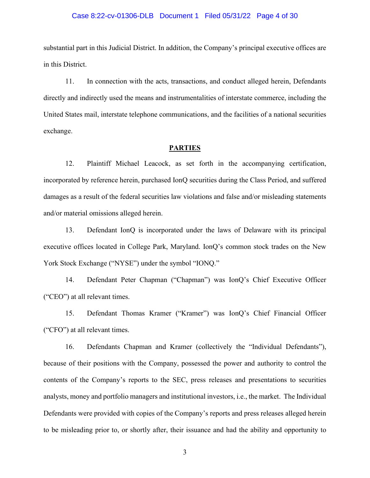#### Case 8:22-cv-01306-DLB Document 1 Filed 05/31/22 Page 4 of 30

substantial part in this Judicial District. In addition, the Company's principal executive offices are in this District.

11. In connection with the acts, transactions, and conduct alleged herein, Defendants directly and indirectly used the means and instrumentalities of interstate commerce, including the United States mail, interstate telephone communications, and the facilities of a national securities exchange.

#### **PARTIES**

12. Plaintiff Michael Leacock, as set forth in the accompanying certification, incorporated by reference herein, purchased IonQ securities during the Class Period, and suffered damages as a result of the federal securities law violations and false and/or misleading statements and/or material omissions alleged herein.

13. Defendant IonQ is incorporated under the laws of Delaware with its principal executive offices located in College Park, Maryland. IonQ's common stock trades on the New York Stock Exchange ("NYSE") under the symbol "IONQ."

14. Defendant Peter Chapman ("Chapman") was IonQ's Chief Executive Officer ("CEO") at all relevant times.

15. Defendant Thomas Kramer ("Kramer") was IonQ's Chief Financial Officer ("CFO") at all relevant times.

16. Defendants Chapman and Kramer (collectively the "Individual Defendants"), because of their positions with the Company, possessed the power and authority to control the contents of the Company's reports to the SEC, press releases and presentations to securities analysts, money and portfolio managers and institutional investors, i.e., the market. The Individual Defendants were provided with copies of the Company's reports and press releases alleged herein to be misleading prior to, or shortly after, their issuance and had the ability and opportunity to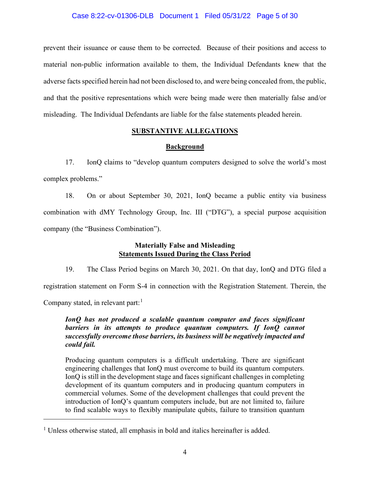### Case 8:22-cv-01306-DLB Document 1 Filed 05/31/22 Page 5 of 30

prevent their issuance or cause them to be corrected. Because of their positions and access to material non-public information available to them, the Individual Defendants knew that the adverse facts specified herein had not been disclosed to, and were being concealed from, the public, and that the positive representations which were being made were then materially false and/or misleading. The Individual Defendants are liable for the false statements pleaded herein.

## **SUBSTANTIVE ALLEGATIONS**

## **Background**

17. IonQ claims to "develop quantum computers designed to solve the world's most complex problems."

18. On or about September 30, 2021, IonQ became a public entity via business combination with dMY Technology Group, Inc. III ("DTG"), a special purpose acquisition company (the "Business Combination").

## **Materially False and Misleading Statements Issued During the Class Period**

19. The Class Period begins on March 30, 2021. On that day, IonQ and DTG filed a registration statement on Form S-4 in connection with the Registration Statement. Therein, the

Company stated, in relevant part:  $<sup>1</sup>$ </sup>

*IonQ has not produced a scalable quantum computer and faces significant barriers in its attempts to produce quantum computers. If IonQ cannot successfully overcome those barriers, its business will be negatively impacted and could fail.* 

Producing quantum computers is a difficult undertaking. There are significant engineering challenges that IonQ must overcome to build its quantum computers. IonQ is still in the development stage and faces significant challenges in completing development of its quantum computers and in producing quantum computers in commercial volumes. Some of the development challenges that could prevent the introduction of IonQ's quantum computers include, but are not limited to, failure to find scalable ways to flexibly manipulate qubits, failure to transition quantum

<sup>&</sup>lt;sup>1</sup> Unless otherwise stated, all emphasis in bold and italics hereinafter is added.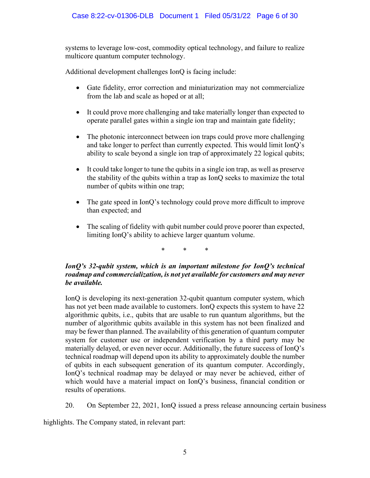systems to leverage low-cost, commodity optical technology, and failure to realize multicore quantum computer technology.

Additional development challenges IonQ is facing include:

- Gate fidelity, error correction and miniaturization may not commercialize from the lab and scale as hoped or at all;
- It could prove more challenging and take materially longer than expected to operate parallel gates within a single ion trap and maintain gate fidelity;
- The photonic interconnect between ion traps could prove more challenging and take longer to perfect than currently expected. This would limit IonQ's ability to scale beyond a single ion trap of approximately 22 logical qubits;
- It could take longer to tune the qubits in a single ion trap, as well as preserve the stability of the qubits within a trap as IonQ seeks to maximize the total number of qubits within one trap;
- The gate speed in IonQ's technology could prove more difficult to improve than expected; and
- The scaling of fidelity with qubit number could prove poorer than expected, limiting IonQ's ability to achieve larger quantum volume.

\* \* \*

## *IonQ's 32-qubit system, which is an important milestone for IonQ's technical roadmap and commercialization, is not yet available for customers and may never be available.*

IonQ is developing its next-generation 32-qubit quantum computer system, which has not yet been made available to customers. IonQ expects this system to have 22 algorithmic qubits, i.e., qubits that are usable to run quantum algorithms, but the number of algorithmic qubits available in this system has not been finalized and may be fewer than planned. The availability of this generation of quantum computer system for customer use or independent verification by a third party may be materially delayed, or even never occur. Additionally, the future success of IonQ's technical roadmap will depend upon its ability to approximately double the number of qubits in each subsequent generation of its quantum computer. Accordingly, IonQ's technical roadmap may be delayed or may never be achieved, either of which would have a material impact on IonQ's business, financial condition or results of operations.

20. On September 22, 2021, IonQ issued a press release announcing certain business

highlights. The Company stated, in relevant part: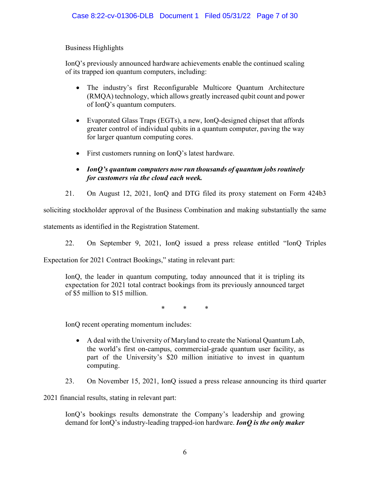## Business Highlights

IonQ's previously announced hardware achievements enable the continued scaling of its trapped ion quantum computers, including:

- The industry's first Reconfigurable Multicore Quantum Architecture (RMQA) technology, which allows greatly increased qubit count and power of IonQ's quantum computers.
- Evaporated Glass Traps (EGTs), a new, IonQ-designed chipset that affords greater control of individual qubits in a quantum computer, paving the way for larger quantum computing cores.
- First customers running on IonQ's latest hardware.
- *IonQ's quantum computers now run thousands of quantum jobs routinely for customers via the cloud each week.*
- 21. On August 12, 2021, IonQ and DTG filed its proxy statement on Form 424b3

soliciting stockholder approval of the Business Combination and making substantially the same

statements as identified in the Registration Statement.

22. On September 9, 2021, IonQ issued a press release entitled "IonQ Triples

Expectation for 2021 Contract Bookings," stating in relevant part:

IonQ, the leader in quantum computing, today announced that it is tripling its expectation for 2021 total contract bookings from its previously announced target of \$5 million to \$15 million.

\* \* \*

IonQ recent operating momentum includes:

- A deal with the University of Maryland to create the National Quantum Lab, the world's first on-campus, commercial-grade quantum user facility, as part of the University's \$20 million initiative to invest in quantum computing.
- 23. On November 15, 2021, IonQ issued a press release announcing its third quarter

2021 financial results, stating in relevant part:

IonQ's bookings results demonstrate the Company's leadership and growing demand for IonQ's industry-leading trapped-ion hardware. *IonQ is the only maker*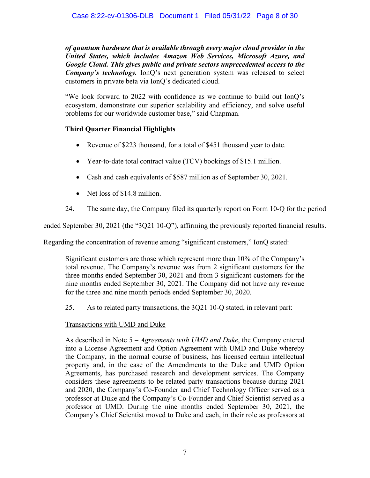*of quantum hardware that is available through every major cloud provider in the United States, which includes Amazon Web Services, Microsoft Azure, and Google Cloud. This gives public and private sectors unprecedented access to the Company's technology.* IonQ's next generation system was released to select customers in private beta via IonQ's dedicated cloud.

"We look forward to 2022 with confidence as we continue to build out IonQ's ecosystem, demonstrate our superior scalability and efficiency, and solve useful problems for our worldwide customer base," said Chapman.

## **Third Quarter Financial Highlights**

- Revenue of \$223 thousand, for a total of \$451 thousand year to date.
- Year-to-date total contract value (TCV) bookings of \$15.1 million.
- Cash and cash equivalents of \$587 million as of September 30, 2021.
- Net loss of \$14.8 million.
- 24. The same day, the Company filed its quarterly report on Form 10-Q for the period

ended September 30, 2021 (the "3Q21 10-Q"), affirming the previously reported financial results.

Regarding the concentration of revenue among "significant customers," IonQ stated:

Significant customers are those which represent more than 10% of the Company's total revenue. The Company's revenue was from 2 significant customers for the three months ended September 30, 2021 and from 3 significant customers for the nine months ended September 30, 2021. The Company did not have any revenue for the three and nine month periods ended September 30, 2020.

25. As to related party transactions, the 3Q21 10-Q stated, in relevant part:

## Transactions with UMD and Duke

As described in Note 5 – *Agreements with UMD and Duke*, the Company entered into a License Agreement and Option Agreement with UMD and Duke whereby the Company, in the normal course of business, has licensed certain intellectual property and, in the case of the Amendments to the Duke and UMD Option Agreements, has purchased research and development services. The Company considers these agreements to be related party transactions because during 2021 and 2020, the Company's Co-Founder and Chief Technology Officer served as a professor at Duke and the Company's Co-Founder and Chief Scientist served as a professor at UMD. During the nine months ended September 30, 2021, the Company's Chief Scientist moved to Duke and each, in their role as professors at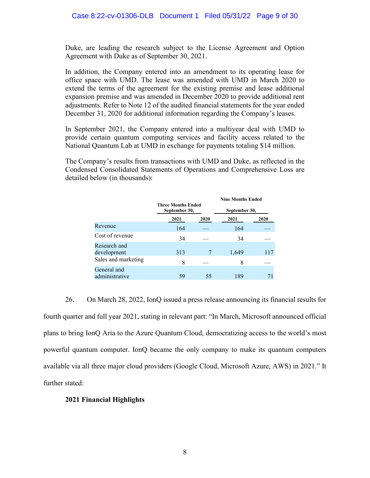Duke, are leading the research subject to the License Agreement and Option Agreement with Duke as of September 30, 2021.

In addition, the Company entered into an amendment to its operating lease for office space with UMD. The lease was amended with UMD in March 2020 to extend the terms of the agreement for the existing premise and lease additional expansion premise and was amended in December 2020 to provide additional rent adjustments. Refer to Note 12 of the audited financial statements for the year ended December 31, 2020 for additional information regarding the Company's leases.

In September 2021, the Company entered into a multiyear deal with UMD to provide certain quantum computing services and facility access related to the National Quantum Lab at UMD in exchange for payments totaling \$14 million.

The Company's results from transactions with UMD and Duke, as reflected in the Condensed Consolidated Statements of Operations and Comprehensive Loss are detailed below (in thousands):

|                               | <b>Three Months Ended</b><br>September 30, |      | <b>Nine Months Ended</b><br>September 30, |      |  |
|-------------------------------|--------------------------------------------|------|-------------------------------------------|------|--|
|                               |                                            |      |                                           |      |  |
|                               | 2021                                       | 2020 | 2021                                      | 2020 |  |
| Revenue                       | 164                                        |      | 164                                       |      |  |
| Cost of revenue               | 34                                         |      | 34                                        |      |  |
| Research and<br>development   | 313                                        |      | 1,649                                     | 117  |  |
| Sales and marketing           | 8                                          |      | 8                                         |      |  |
| General and<br>administrative | 59                                         | 55   | 189                                       |      |  |

26. On March 28, 2022, IonQ issued a press release announcing its financial results for fourth quarter and full year 2021, stating in relevant part: "In March, Microsoft announced official plans to bring IonQ Aria to the Azure Quantum Cloud, democratizing access to the world's most powerful quantum computer. IonQ became the only company to make its quantum computers available via all three major cloud providers (Google Cloud, Microsoft Azure, AWS) in 2021." It further stated:

### **2021 Financial Highlights**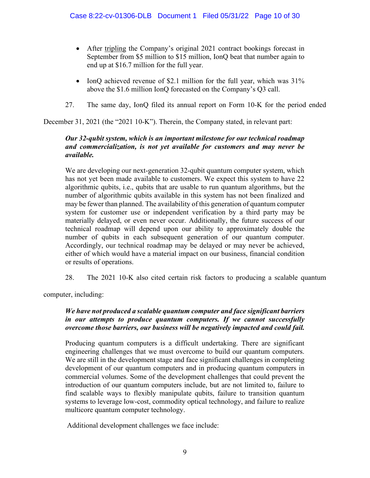- After tripling the Company's original 2021 contract bookings forecast in September from \$5 million to \$15 million, IonQ beat that number again to end up at \$16.7 million for the full year.
- IonQ achieved revenue of \$2.1 million for the full year, which was  $31\%$ above the \$1.6 million IonQ forecasted on the Company's Q3 call.
- 27. The same day, IonQ filed its annual report on Form 10-K for the period ended

December 31, 2021 (the "2021 10-K"). Therein, the Company stated, in relevant part:

## *Our 32-qubit system, which is an important milestone for our technical roadmap and commercialization, is not yet available for customers and may never be available.*

We are developing our next-generation 32-qubit quantum computer system, which has not yet been made available to customers. We expect this system to have 22 algorithmic qubits, i.e., qubits that are usable to run quantum algorithms, but the number of algorithmic qubits available in this system has not been finalized and may be fewer than planned. The availability of this generation of quantum computer system for customer use or independent verification by a third party may be materially delayed, or even never occur. Additionally, the future success of our technical roadmap will depend upon our ability to approximately double the number of qubits in each subsequent generation of our quantum computer. Accordingly, our technical roadmap may be delayed or may never be achieved, either of which would have a material impact on our business, financial condition or results of operations.

28. The 2021 10-K also cited certain risk factors to producing a scalable quantum

computer, including:

## *We have not produced a scalable quantum computer and face significant barriers in our attempts to produce quantum computers. If we cannot successfully overcome those barriers, our business will be negatively impacted and could fail.*

Producing quantum computers is a difficult undertaking. There are significant engineering challenges that we must overcome to build our quantum computers. We are still in the development stage and face significant challenges in completing development of our quantum computers and in producing quantum computers in commercial volumes. Some of the development challenges that could prevent the introduction of our quantum computers include, but are not limited to, failure to find scalable ways to flexibly manipulate qubits, failure to transition quantum systems to leverage low-cost, commodity optical technology, and failure to realize multicore quantum computer technology.

Additional development challenges we face include: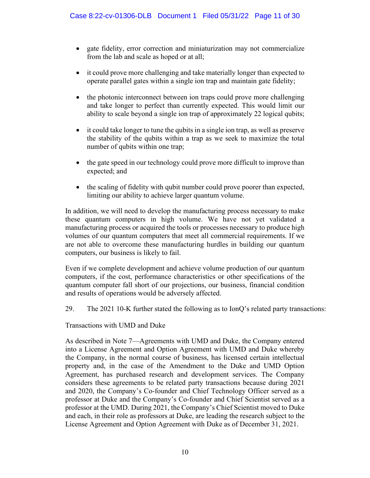- gate fidelity, error correction and miniaturization may not commercialize from the lab and scale as hoped or at all;
- it could prove more challenging and take materially longer than expected to operate parallel gates within a single ion trap and maintain gate fidelity;
- the photonic interconnect between ion traps could prove more challenging and take longer to perfect than currently expected. This would limit our ability to scale beyond a single ion trap of approximately 22 logical qubits;
- it could take longer to tune the qubits in a single ion trap, as well as preserve the stability of the qubits within a trap as we seek to maximize the total number of qubits within one trap;
- the gate speed in our technology could prove more difficult to improve than expected; and
- the scaling of fidelity with qubit number could prove poorer than expected, limiting our ability to achieve larger quantum volume.

In addition, we will need to develop the manufacturing process necessary to make these quantum computers in high volume. We have not yet validated a manufacturing process or acquired the tools or processes necessary to produce high volumes of our quantum computers that meet all commercial requirements. If we are not able to overcome these manufacturing hurdles in building our quantum computers, our business is likely to fail.

Even if we complete development and achieve volume production of our quantum computers, if the cost, performance characteristics or other specifications of the quantum computer fall short of our projections, our business, financial condition and results of operations would be adversely affected.

29. The 2021 10-K further stated the following as to IonQ's related party transactions:

Transactions with UMD and Duke

As described in Note 7—Agreements with UMD and Duke, the Company entered into a License Agreement and Option Agreement with UMD and Duke whereby the Company, in the normal course of business, has licensed certain intellectual property and, in the case of the Amendment to the Duke and UMD Option Agreement, has purchased research and development services. The Company considers these agreements to be related party transactions because during 2021 and 2020, the Company's Co-founder and Chief Technology Officer served as a professor at Duke and the Company's Co-founder and Chief Scientist served as a professor at the UMD. During 2021, the Company's Chief Scientist moved to Duke and each, in their role as professors at Duke, are leading the research subject to the License Agreement and Option Agreement with Duke as of December 31, 2021.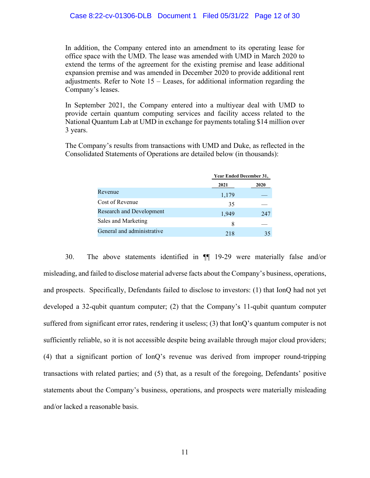In addition, the Company entered into an amendment to its operating lease for office space with the UMD. The lease was amended with UMD in March 2020 to extend the terms of the agreement for the existing premise and lease additional expansion premise and was amended in December 2020 to provide additional rent adjustments. Refer to Note 15 – Leases, for additional information regarding the Company's leases.

In September 2021, the Company entered into a multiyear deal with UMD to provide certain quantum computing services and facility access related to the National Quantum Lab at UMD in exchange for payments totaling \$14 million over 3 years.

The Company's results from transactions with UMD and Duke, as reflected in the Consolidated Statements of Operations are detailed below (in thousands):

|                                 | <b>Year Ended December 31,</b> |      |  |
|---------------------------------|--------------------------------|------|--|
|                                 | 2021                           | 2020 |  |
| Revenue                         | 1,179                          |      |  |
| Cost of Revenue                 | 35                             |      |  |
| <b>Research and Development</b> | 1,949                          | 247  |  |
| Sales and Marketing             | 8                              |      |  |
| General and administrative      | 218                            | 35   |  |

30. The above statements identified in ¶¶ 19-29 were materially false and/or misleading, and failed to disclose material adverse facts about the Company's business, operations, and prospects. Specifically, Defendants failed to disclose to investors: (1) that IonQ had not yet developed a 32-qubit quantum computer; (2) that the Company's 11-qubit quantum computer suffered from significant error rates, rendering it useless; (3) that IonQ's quantum computer is not sufficiently reliable, so it is not accessible despite being available through major cloud providers; (4) that a significant portion of IonQ's revenue was derived from improper round-tripping transactions with related parties; and (5) that, as a result of the foregoing, Defendants' positive statements about the Company's business, operations, and prospects were materially misleading and/or lacked a reasonable basis.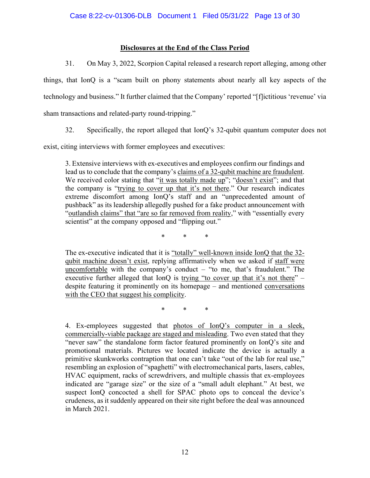## **Disclosures at the End of the Class Period**

31. On May 3, 2022, Scorpion Capital released a research report alleging, among other

things, that IonQ is a "scam built on phony statements about nearly all key aspects of the technology and business." It further claimed that the Company' reported "[f]ictitious 'revenue' via sham transactions and related-party round-tripping."

32. Specifically, the report alleged that IonQ's 32-qubit quantum computer does not

exist, citing interviews with former employees and executives:

3. Extensive interviews with ex-executives and employees confirm our findings and lead us to conclude that the company's claims of a 32-qubit machine are fraudulent. We received color stating that "it was totally made up"; "doesn't exist"; and that the company is "trying to cover up that it's not there." Our research indicates extreme discomfort among IonQ's staff and an "unprecedented amount of pushback" as its leadership allegedly pushed for a fake product announcement with "outlandish claims" that "are so far removed from reality," with "essentially every scientist" at the company opposed and "flipping out."

\* \* \*

The ex-executive indicated that it is "totally" well-known inside IonQ that the 32 qubit machine doesn't exist, replying affirmatively when we asked if staff were uncomfortable with the company's conduct  $-$  "to me, that's fraudulent." The executive further alleged that IonQ is trying "to cover up that it's not there"  $$ despite featuring it prominently on its homepage – and mentioned conversations with the CEO that suggest his complicity.

\* \* \*

4. Ex-employees suggested that photos of IonQ's computer in a sleek, commercially-viable package are staged and misleading. Two even stated that they "never saw" the standalone form factor featured prominently on IonQ's site and promotional materials. Pictures we located indicate the device is actually a primitive skunkworks contraption that one can't take "out of the lab for real use," resembling an explosion of "spaghetti" with electromechanical parts, lasers, cables, HVAC equipment, racks of screwdrivers, and multiple chassis that ex-employees indicated are "garage size" or the size of a "small adult elephant." At best, we suspect IonQ concocted a shell for SPAC photo ops to conceal the device's crudeness, as it suddenly appeared on their site right before the deal was announced in March 2021.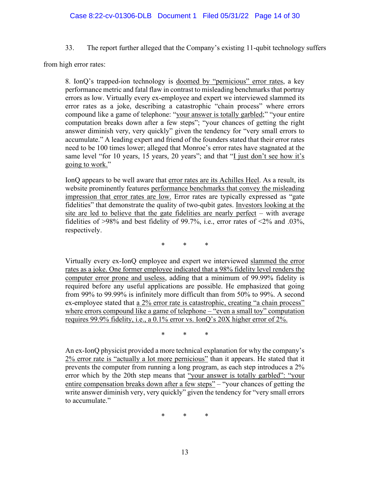33. The report further alleged that the Company's existing 11-qubit technology suffers

from high error rates:

8. IonQ's trapped-ion technology is doomed by "pernicious" error rates, a key performance metric and fatal flaw in contrast to misleading benchmarks that portray errors as low. Virtually every ex-employee and expert we interviewed slammed its error rates as a joke, describing a catastrophic "chain process" where errors compound like a game of telephone: "your answer is totally garbled;" "your entire computation breaks down after a few steps"; "your chances of getting the right answer diminish very, very quickly" given the tendency for "very small errors to accumulate." A leading expert and friend of the founders stated that their error rates need to be 100 times lower; alleged that Monroe's error rates have stagnated at the same level "for 10 years, 15 years, 20 years"; and that "I just don't see how it's going to work."

IonQ appears to be well aware that error rates are its Achilles Heel. As a result, its website prominently features performance benchmarks that convey the misleading impression that error rates are low. Error rates are typically expressed as "gate fidelities" that demonstrate the quality of two-qubit gates. Investors looking at the site are led to believe that the gate fidelities are nearly perfect – with average fidelities of  $>98\%$  and best fidelity of 99.7%, i.e., error rates of  $\leq 2\%$  and .03%, respectively.

\* \* \*

Virtually every ex-IonQ employee and expert we interviewed slammed the error rates as a joke. One former employee indicated that a 98% fidelity level renders the computer error prone and useless, adding that a minimum of 99.99% fidelity is required before any useful applications are possible. He emphasized that going from 99% to 99.99% is infinitely more difficult than from 50% to 99%. A second ex-employee stated that <u>a 2% error rate is catastrophic, creating "a chain process"</u> where errors compound like a game of telephone – "even a small toy" computation requires 99.9% fidelity, i.e., a 0.1% error vs. IonQ's 20X higher error of 2%.

\* \* \*

An ex-IonQ physicist provided a more technical explanation for why the company's 2% error rate is "actually a lot more pernicious" than it appears. He stated that it prevents the computer from running a long program, as each step introduces a 2% error which by the 20th step means that "your answer is totally garbled": "your entire compensation breaks down after a few steps" – "your chances of getting the write answer diminish very, very quickly" given the tendency for "very small errors" to accumulate."

\* \* \*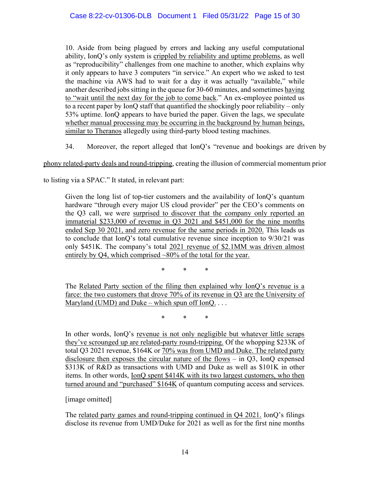10. Aside from being plagued by errors and lacking any useful computational ability, IonQ's only system is crippled by reliability and uptime problems, as well as "reproducibility" challenges from one machine to another, which explains why it only appears to have 3 computers "in service." An expert who we asked to test the machine via AWS had to wait for a day it was actually "available," while another described jobs sitting in the queue for 30-60 minutes, and sometimes having to "wait until the next day for the job to come back." An ex-employee pointed us to a recent paper by IonQ staff that quantified the shockingly poor reliability – only 53% uptime. IonQ appears to have buried the paper. Given the lags, we speculate whether manual processing may be occurring in the background by human beings, similar to Theranos allegedly using third-party blood testing machines.

34. Moreover, the report alleged that IonQ's "revenue and bookings are driven by

phony related-party deals and round-tripping, creating the illusion of commercial momentum prior

to listing via a SPAC." It stated, in relevant part:

Given the long list of top-tier customers and the availability of IonQ's quantum hardware "through every major US cloud provider" per the CEO's comments on the Q3 call, we were surprised to discover that the company only reported an immaterial \$233,000 of revenue in Q3 2021 and \$451,000 for the nine months ended Sep 30 2021, and zero revenue for the same periods in 2020. This leads us to conclude that IonQ's total cumulative revenue since inception to 9/30/21 was only \$451K. The company's total 2021 revenue of \$2.1MM was driven almost entirely by O4, which comprised  $\sim 80\%$  of the total for the year.

\* \* \*

The Related Party section of the filing then explained why IonQ's revenue is a farce: the two customers that drove 70% of its revenue in Q3 are the University of Maryland (UMD) and Duke – which spun off  $IonQ...$ 

\* \* \*

In other words, IonQ's revenue is not only negligible but whatever little scraps they've scrounged up are related-party round-tripping. Of the whopping \$233K of total Q3 2021 revenue, \$164K or 70% was from UMD and Duke. The related party disclosure then exposes the circular nature of the flows – in Q3, IonQ expensed \$313K of R&D as transactions with UMD and Duke as well as \$101K in other items. In other words, IonQ spent \$414K with its two largest customers, who then turned around and "purchased" \$164K of quantum computing access and services.

## [image omitted]

The related party games and round-tripping continued in Q4 2021. IonQ's filings disclose its revenue from UMD/Duke for 2021 as well as for the first nine months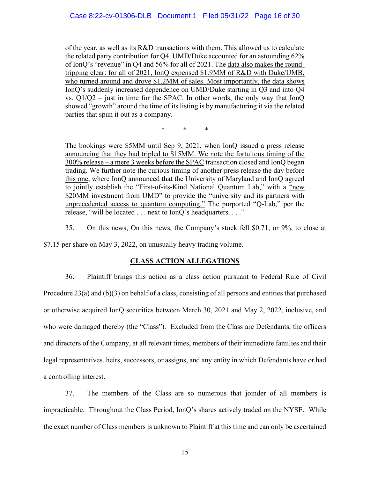of the year, as well as its R&D transactions with them. This allowed us to calculate the related party contribution for Q4. UMD/Duke accounted for an astounding 62% of IonQ's "revenue" in Q4 and 56% for all of 2021. The data also makes the roundtripping clear: for all of 2021, IonQ expensed \$1.9MM of R&D with Duke/UMB, who turned around and drove \$1.2MM of sales. Most importantly, the data shows IonQ's suddenly increased dependence on UMD/Duke starting in Q3 and into Q4 vs.  $Q1/Q2$  – just in time for the SPAC. In other words, the only way that IonQ showed "growth" around the time of its listing is by manufacturing it via the related parties that spun it out as a company.

\* \* \*

The bookings were \$5MM until Sep 9, 2021, when IonQ issued a press release announcing that they had tripled to \$15MM. We note the fortuitous timing of the 300% release – a mere 3 weeks before the SPAC transaction closed and IonQ began trading. We further note the curious timing of another press release the day before this one, where IonQ announced that the University of Maryland and IonQ agreed to jointly establish the "First-of-its-Kind National Quantum Lab," with a "new \$20MM investment from UMD" to provide the "university and its partners with unprecedented access to quantum computing." The purported "Q-Lab," per the release, "will be located . . . next to IonQ's headquarters. . . ."

35. On this news, On this news, the Company's stock fell \$0.71, or 9%, to close at

\$7.15 per share on May 3, 2022, on unusually heavy trading volume.

## **CLASS ACTION ALLEGATIONS**

36. Plaintiff brings this action as a class action pursuant to Federal Rule of Civil Procedure 23(a) and  $(b)(3)$  on behalf of a class, consisting of all persons and entities that purchased or otherwise acquired IonQ securities between March 30, 2021 and May 2, 2022, inclusive, and who were damaged thereby (the "Class"). Excluded from the Class are Defendants, the officers and directors of the Company, at all relevant times, members of their immediate families and their legal representatives, heirs, successors, or assigns, and any entity in which Defendants have or had a controlling interest.

37. The members of the Class are so numerous that joinder of all members is impracticable. Throughout the Class Period, IonQ's shares actively traded on the NYSE. While the exact number of Class members is unknown to Plaintiff at this time and can only be ascertained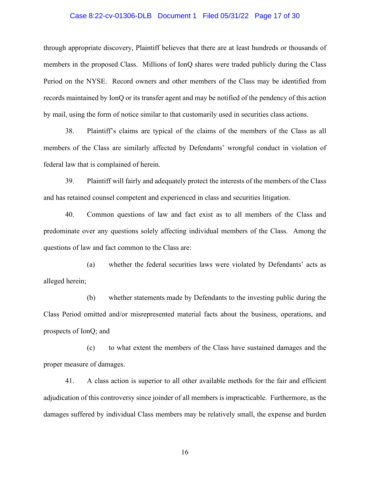#### Case 8:22-cv-01306-DLB Document 1 Filed 05/31/22 Page 17 of 30

through appropriate discovery, Plaintiff believes that there are at least hundreds or thousands of members in the proposed Class. Millions of IonQ shares were traded publicly during the Class Period on the NYSE. Record owners and other members of the Class may be identified from records maintained by IonQ or its transfer agent and may be notified of the pendency of this action by mail, using the form of notice similar to that customarily used in securities class actions.

38. Plaintiff's claims are typical of the claims of the members of the Class as all members of the Class are similarly affected by Defendants' wrongful conduct in violation of federal law that is complained of herein.

39. Plaintiff will fairly and adequately protect the interests of the members of the Class and has retained counsel competent and experienced in class and securities litigation.

40. Common questions of law and fact exist as to all members of the Class and predominate over any questions solely affecting individual members of the Class. Among the questions of law and fact common to the Class are:

(a) whether the federal securities laws were violated by Defendants' acts as alleged herein;

(b) whether statements made by Defendants to the investing public during the Class Period omitted and/or misrepresented material facts about the business, operations, and prospects of IonQ; and

(c) to what extent the members of the Class have sustained damages and the proper measure of damages.

41. A class action is superior to all other available methods for the fair and efficient adjudication of this controversy since joinder of all members is impracticable. Furthermore, as the damages suffered by individual Class members may be relatively small, the expense and burden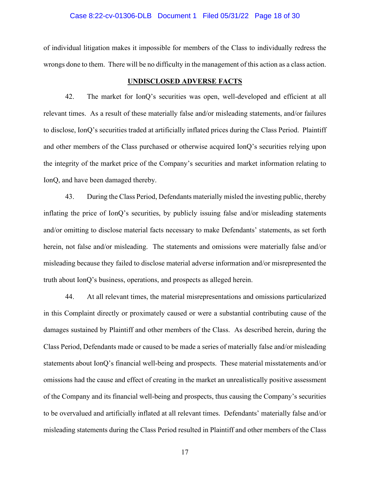#### Case 8:22-cv-01306-DLB Document 1 Filed 05/31/22 Page 18 of 30

of individual litigation makes it impossible for members of the Class to individually redress the wrongs done to them. There will be no difficulty in the management of this action as a class action.

#### **UNDISCLOSED ADVERSE FACTS**

42. The market for IonQ's securities was open, well-developed and efficient at all relevant times. As a result of these materially false and/or misleading statements, and/or failures to disclose, IonQ's securities traded at artificially inflated prices during the Class Period. Plaintiff and other members of the Class purchased or otherwise acquired IonQ's securities relying upon the integrity of the market price of the Company's securities and market information relating to IonQ, and have been damaged thereby.

43. During the Class Period, Defendants materially misled the investing public, thereby inflating the price of IonQ's securities, by publicly issuing false and/or misleading statements and/or omitting to disclose material facts necessary to make Defendants' statements, as set forth herein, not false and/or misleading. The statements and omissions were materially false and/or misleading because they failed to disclose material adverse information and/or misrepresented the truth about IonQ's business, operations, and prospects as alleged herein.

44. At all relevant times, the material misrepresentations and omissions particularized in this Complaint directly or proximately caused or were a substantial contributing cause of the damages sustained by Plaintiff and other members of the Class. As described herein, during the Class Period, Defendants made or caused to be made a series of materially false and/or misleading statements about IonQ's financial well-being and prospects. These material misstatements and/or omissions had the cause and effect of creating in the market an unrealistically positive assessment of the Company and its financial well-being and prospects, thus causing the Company's securities to be overvalued and artificially inflated at all relevant times. Defendants' materially false and/or misleading statements during the Class Period resulted in Plaintiff and other members of the Class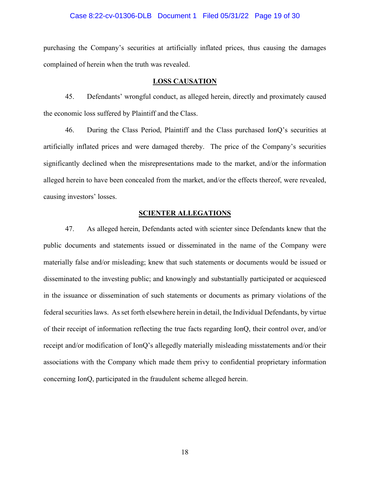#### Case 8:22-cv-01306-DLB Document 1 Filed 05/31/22 Page 19 of 30

purchasing the Company's securities at artificially inflated prices, thus causing the damages complained of herein when the truth was revealed.

#### **LOSS CAUSATION**

45. Defendants' wrongful conduct, as alleged herein, directly and proximately caused the economic loss suffered by Plaintiff and the Class.

46. During the Class Period, Plaintiff and the Class purchased IonQ's securities at artificially inflated prices and were damaged thereby. The price of the Company's securities significantly declined when the misrepresentations made to the market, and/or the information alleged herein to have been concealed from the market, and/or the effects thereof, were revealed, causing investors' losses.

#### **SCIENTER ALLEGATIONS**

47. As alleged herein, Defendants acted with scienter since Defendants knew that the public documents and statements issued or disseminated in the name of the Company were materially false and/or misleading; knew that such statements or documents would be issued or disseminated to the investing public; and knowingly and substantially participated or acquiesced in the issuance or dissemination of such statements or documents as primary violations of the federal securities laws. As set forth elsewhere herein in detail, the Individual Defendants, by virtue of their receipt of information reflecting the true facts regarding IonQ, their control over, and/or receipt and/or modification of IonQ's allegedly materially misleading misstatements and/or their associations with the Company which made them privy to confidential proprietary information concerning IonQ, participated in the fraudulent scheme alleged herein.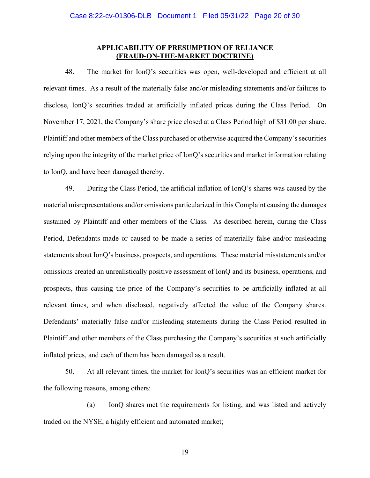#### **APPLICABILITY OF PRESUMPTION OF RELIANCE (FRAUD-ON-THE-MARKET DOCTRINE)**

48. The market for IonQ's securities was open, well-developed and efficient at all relevant times. As a result of the materially false and/or misleading statements and/or failures to disclose, IonQ's securities traded at artificially inflated prices during the Class Period. On November 17, 2021, the Company's share price closed at a Class Period high of \$31.00 per share. Plaintiff and other members of the Class purchased or otherwise acquired the Company's securities relying upon the integrity of the market price of IonQ's securities and market information relating to IonQ, and have been damaged thereby.

49. During the Class Period, the artificial inflation of IonQ's shares was caused by the material misrepresentations and/or omissions particularized in this Complaint causing the damages sustained by Plaintiff and other members of the Class. As described herein, during the Class Period, Defendants made or caused to be made a series of materially false and/or misleading statements about IonQ's business, prospects, and operations. These material misstatements and/or omissions created an unrealistically positive assessment of IonQ and its business, operations, and prospects, thus causing the price of the Company's securities to be artificially inflated at all relevant times, and when disclosed, negatively affected the value of the Company shares. Defendants' materially false and/or misleading statements during the Class Period resulted in Plaintiff and other members of the Class purchasing the Company's securities at such artificially inflated prices, and each of them has been damaged as a result.

50. At all relevant times, the market for IonQ's securities was an efficient market for the following reasons, among others:

(a) IonQ shares met the requirements for listing, and was listed and actively traded on the NYSE, a highly efficient and automated market;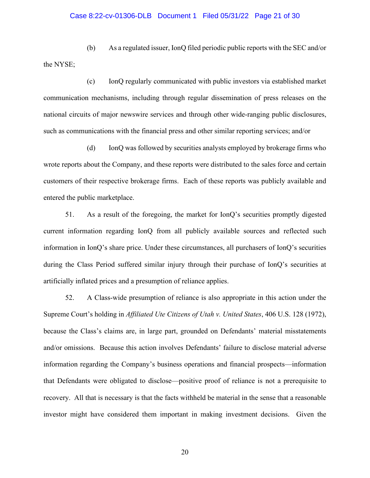#### Case 8:22-cv-01306-DLB Document 1 Filed 05/31/22 Page 21 of 30

(b) As a regulated issuer, IonQ filed periodic public reports with the SEC and/or the NYSE;

(c) IonQ regularly communicated with public investors via established market communication mechanisms, including through regular dissemination of press releases on the national circuits of major newswire services and through other wide-ranging public disclosures, such as communications with the financial press and other similar reporting services; and/or

(d) IonQ was followed by securities analysts employed by brokerage firms who wrote reports about the Company, and these reports were distributed to the sales force and certain customers of their respective brokerage firms. Each of these reports was publicly available and entered the public marketplace.

51. As a result of the foregoing, the market for IonQ's securities promptly digested current information regarding IonQ from all publicly available sources and reflected such information in IonQ's share price. Under these circumstances, all purchasers of IonQ's securities during the Class Period suffered similar injury through their purchase of IonQ's securities at artificially inflated prices and a presumption of reliance applies.

52. A Class-wide presumption of reliance is also appropriate in this action under the Supreme Court's holding in *Affiliated Ute Citizens of Utah v. United States*, 406 U.S. 128 (1972), because the Class's claims are, in large part, grounded on Defendants' material misstatements and/or omissions. Because this action involves Defendants' failure to disclose material adverse information regarding the Company's business operations and financial prospects—information that Defendants were obligated to disclose—positive proof of reliance is not a prerequisite to recovery. All that is necessary is that the facts withheld be material in the sense that a reasonable investor might have considered them important in making investment decisions. Given the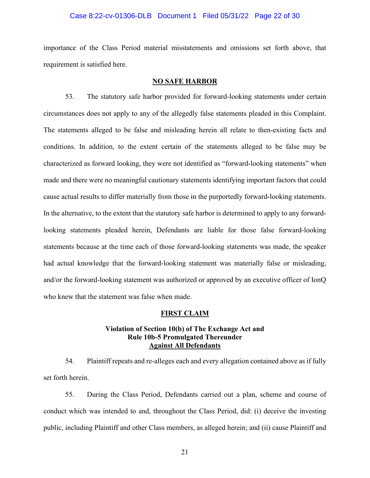#### Case 8:22-cv-01306-DLB Document 1 Filed 05/31/22 Page 22 of 30

importance of the Class Period material misstatements and omissions set forth above, that requirement is satisfied here.

### **NO SAFE HARBOR**

53. The statutory safe harbor provided for forward-looking statements under certain circumstances does not apply to any of the allegedly false statements pleaded in this Complaint. The statements alleged to be false and misleading herein all relate to then-existing facts and conditions. In addition, to the extent certain of the statements alleged to be false may be characterized as forward looking, they were not identified as "forward-looking statements" when made and there were no meaningful cautionary statements identifying important factors that could cause actual results to differ materially from those in the purportedly forward-looking statements. In the alternative, to the extent that the statutory safe harbor is determined to apply to any forwardlooking statements pleaded herein, Defendants are liable for those false forward-looking statements because at the time each of those forward-looking statements was made, the speaker had actual knowledge that the forward-looking statement was materially false or misleading, and/or the forward-looking statement was authorized or approved by an executive officer of IonQ who knew that the statement was false when made.

#### **FIRST CLAIM**

#### **Violation of Section 10(b) of The Exchange Act and Rule 10b-5 Promulgated Thereunder Against All Defendants**

54. Plaintiff repeats and re-alleges each and every allegation contained above as if fully set forth herein.

55. During the Class Period, Defendants carried out a plan, scheme and course of conduct which was intended to and, throughout the Class Period, did: (i) deceive the investing public, including Plaintiff and other Class members, as alleged herein; and (ii) cause Plaintiff and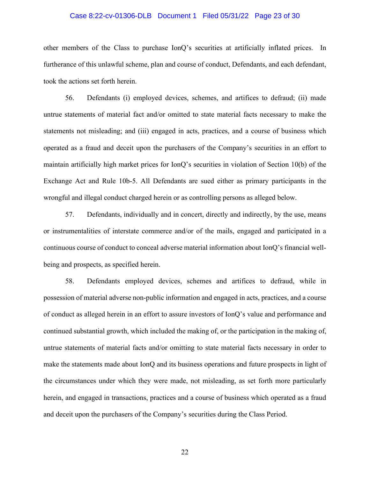#### Case 8:22-cv-01306-DLB Document 1 Filed 05/31/22 Page 23 of 30

other members of the Class to purchase IonQ's securities at artificially inflated prices. In furtherance of this unlawful scheme, plan and course of conduct, Defendants, and each defendant, took the actions set forth herein.

56. Defendants (i) employed devices, schemes, and artifices to defraud; (ii) made untrue statements of material fact and/or omitted to state material facts necessary to make the statements not misleading; and (iii) engaged in acts, practices, and a course of business which operated as a fraud and deceit upon the purchasers of the Company's securities in an effort to maintain artificially high market prices for IonQ's securities in violation of Section 10(b) of the Exchange Act and Rule 10b-5. All Defendants are sued either as primary participants in the wrongful and illegal conduct charged herein or as controlling persons as alleged below.

57. Defendants, individually and in concert, directly and indirectly, by the use, means or instrumentalities of interstate commerce and/or of the mails, engaged and participated in a continuous course of conduct to conceal adverse material information about IonQ's financial wellbeing and prospects, as specified herein.

58. Defendants employed devices, schemes and artifices to defraud, while in possession of material adverse non-public information and engaged in acts, practices, and a course of conduct as alleged herein in an effort to assure investors of IonQ's value and performance and continued substantial growth, which included the making of, or the participation in the making of, untrue statements of material facts and/or omitting to state material facts necessary in order to make the statements made about IonQ and its business operations and future prospects in light of the circumstances under which they were made, not misleading, as set forth more particularly herein, and engaged in transactions, practices and a course of business which operated as a fraud and deceit upon the purchasers of the Company's securities during the Class Period.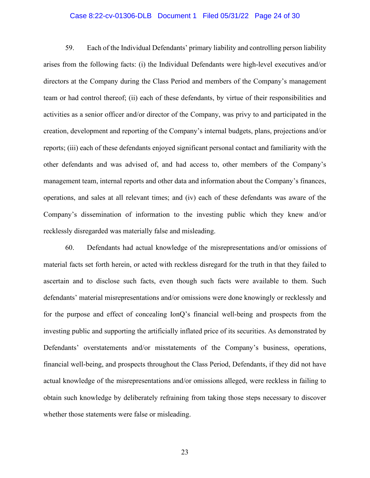#### Case 8:22-cv-01306-DLB Document 1 Filed 05/31/22 Page 24 of 30

59. Each of the Individual Defendants' primary liability and controlling person liability arises from the following facts: (i) the Individual Defendants were high-level executives and/or directors at the Company during the Class Period and members of the Company's management team or had control thereof; (ii) each of these defendants, by virtue of their responsibilities and activities as a senior officer and/or director of the Company, was privy to and participated in the creation, development and reporting of the Company's internal budgets, plans, projections and/or reports; (iii) each of these defendants enjoyed significant personal contact and familiarity with the other defendants and was advised of, and had access to, other members of the Company's management team, internal reports and other data and information about the Company's finances, operations, and sales at all relevant times; and (iv) each of these defendants was aware of the Company's dissemination of information to the investing public which they knew and/or recklessly disregarded was materially false and misleading.

60. Defendants had actual knowledge of the misrepresentations and/or omissions of material facts set forth herein, or acted with reckless disregard for the truth in that they failed to ascertain and to disclose such facts, even though such facts were available to them. Such defendants' material misrepresentations and/or omissions were done knowingly or recklessly and for the purpose and effect of concealing IonQ's financial well-being and prospects from the investing public and supporting the artificially inflated price of its securities. As demonstrated by Defendants' overstatements and/or misstatements of the Company's business, operations, financial well-being, and prospects throughout the Class Period, Defendants, if they did not have actual knowledge of the misrepresentations and/or omissions alleged, were reckless in failing to obtain such knowledge by deliberately refraining from taking those steps necessary to discover whether those statements were false or misleading.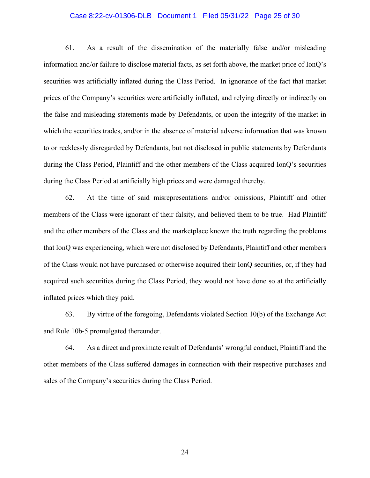#### Case 8:22-cv-01306-DLB Document 1 Filed 05/31/22 Page 25 of 30

61. As a result of the dissemination of the materially false and/or misleading information and/or failure to disclose material facts, as set forth above, the market price of IonQ's securities was artificially inflated during the Class Period. In ignorance of the fact that market prices of the Company's securities were artificially inflated, and relying directly or indirectly on the false and misleading statements made by Defendants, or upon the integrity of the market in which the securities trades, and/or in the absence of material adverse information that was known to or recklessly disregarded by Defendants, but not disclosed in public statements by Defendants during the Class Period, Plaintiff and the other members of the Class acquired IonQ's securities during the Class Period at artificially high prices and were damaged thereby.

62. At the time of said misrepresentations and/or omissions, Plaintiff and other members of the Class were ignorant of their falsity, and believed them to be true. Had Plaintiff and the other members of the Class and the marketplace known the truth regarding the problems that IonQ was experiencing, which were not disclosed by Defendants, Plaintiff and other members of the Class would not have purchased or otherwise acquired their IonQ securities, or, if they had acquired such securities during the Class Period, they would not have done so at the artificially inflated prices which they paid.

63. By virtue of the foregoing, Defendants violated Section 10(b) of the Exchange Act and Rule 10b-5 promulgated thereunder.

64. As a direct and proximate result of Defendants' wrongful conduct, Plaintiff and the other members of the Class suffered damages in connection with their respective purchases and sales of the Company's securities during the Class Period.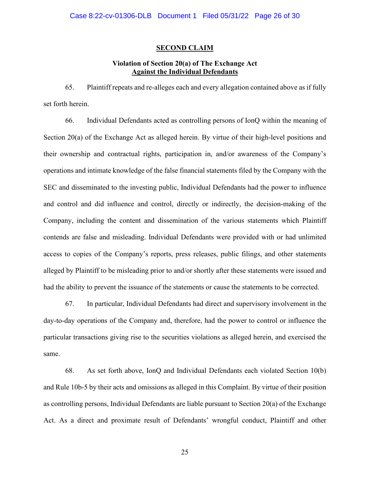#### **SECOND CLAIM**

## **Violation of Section 20(a) of The Exchange Act Against the Individual Defendants**

65. Plaintiff repeats and re-alleges each and every allegation contained above as if fully set forth herein.

66. Individual Defendants acted as controlling persons of IonQ within the meaning of Section 20(a) of the Exchange Act as alleged herein. By virtue of their high-level positions and their ownership and contractual rights, participation in, and/or awareness of the Company's operations and intimate knowledge of the false financial statements filed by the Company with the SEC and disseminated to the investing public, Individual Defendants had the power to influence and control and did influence and control, directly or indirectly, the decision-making of the Company, including the content and dissemination of the various statements which Plaintiff contends are false and misleading. Individual Defendants were provided with or had unlimited access to copies of the Company's reports, press releases, public filings, and other statements alleged by Plaintiff to be misleading prior to and/or shortly after these statements were issued and had the ability to prevent the issuance of the statements or cause the statements to be corrected.

67. In particular, Individual Defendants had direct and supervisory involvement in the day-to-day operations of the Company and, therefore, had the power to control or influence the particular transactions giving rise to the securities violations as alleged herein, and exercised the same.

68. As set forth above, IonQ and Individual Defendants each violated Section 10(b) and Rule 10b-5 by their acts and omissions as alleged in this Complaint. By virtue of their position as controlling persons, Individual Defendants are liable pursuant to Section 20(a) of the Exchange Act. As a direct and proximate result of Defendants' wrongful conduct, Plaintiff and other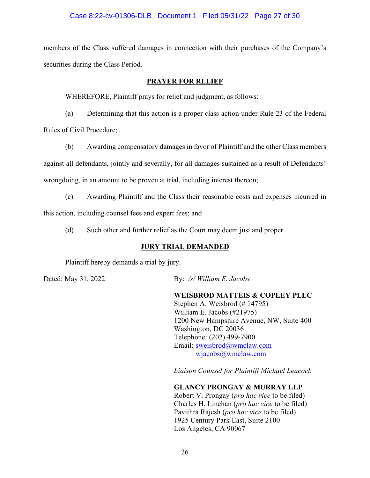### Case 8:22-cv-01306-DLB Document 1 Filed 05/31/22 Page 27 of 30

members of the Class suffered damages in connection with their purchases of the Company's securities during the Class Period.

### **PRAYER FOR RELIEF**

WHEREFORE, Plaintiff prays for relief and judgment, as follows:

(a) Determining that this action is a proper class action under Rule 23 of the Federal Rules of Civil Procedure;

(b) Awarding compensatory damages in favor of Plaintiff and the other Class members against all defendants, jointly and severally, for all damages sustained as a result of Defendants' wrongdoing, in an amount to be proven at trial, including interest thereon;

(c) Awarding Plaintiff and the Class their reasonable costs and expenses incurred in this action, including counsel fees and expert fees; and

(d) Such other and further relief as the Court may deem just and proper.

### **JURY TRIAL DEMANDED**

Plaintiff hereby demands a trial by jury.

Dated: May 31, 2022 By: */s/ William E. Jacobs*

**WEISBROD MATTEIS & COPLEY PLLC** Stephen A. Weisbrod (# 14795) William E. Jacobs (#21975) 1200 New Hampshire Avenue, NW, Suite 400 Washington, DC 20036 Telephone: (202) 499-7900 Email: sweisbrod@wmclaw.com wjacobs@wmclaw.com

*Liaison Counsel for Plaintiff Michael Leacock*

**GLANCY PRONGAY & MURRAY LLP**

Robert V. Prongay (*pro hac vice* to be filed) Charles H. Linehan (*pro hac vice* to be filed) Pavithra Rajesh (*pro hac vice* to be filed) 1925 Century Park East, Suite 2100 Los Angeles, CA 90067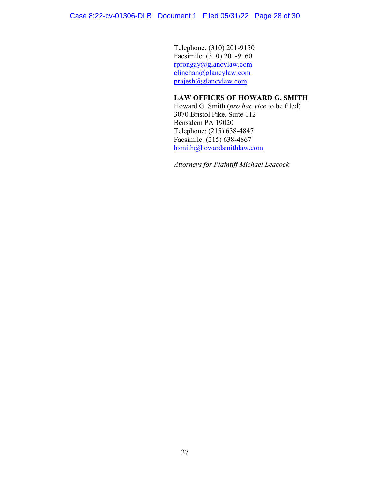Case 8:22-cv-01306-DLB Document 1 Filed 05/31/22 Page 28 of 30

Telephone: (310) 201-9150 Facsimile: (310) 201-9160 rprongay@glancylaw.com clinehan@glancylaw.com prajesh@glancylaw.com

### **LAW OFFICES OF HOWARD G. SMITH**

Howard G. Smith (*pro hac vice* to be filed) 3070 Bristol Pike, Suite 112 Bensalem PA 19020 Telephone: (215) 638-4847 Facsimile: (215) 638-4867 hsmith@howardsmithlaw.com

*Attorneys for Plaintiff Michael Leacock*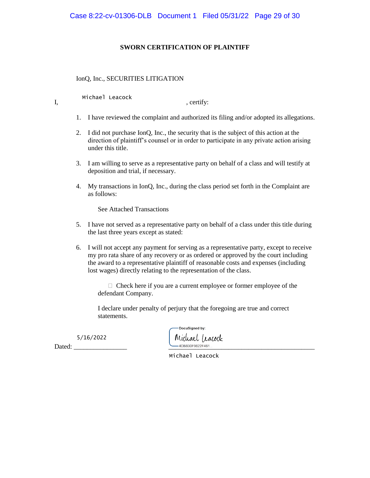#### **SWORN CERTIFICATION OF PLAINTIFF**

IonQ, Inc., SECURITIES LITIGATION

Michael Leacock

I, certify:

- 1. I have reviewed the complaint and authorized its filing and/or adopted its allegations.
- 2. I did not purchase IonQ, Inc., the security that is the subject of this action at the direction of plaintiff's counsel or in order to participate in any private action arising under this title.
- 3. I am willing to serve as a representative party on behalf of a class and will testify at deposition and trial, if necessary.
- 4. My transactions in IonQ, Inc., during the class period set forth in the Complaint are as follows:

See Attached Transactions

- 5. I have not served as a representative party on behalf of a class under this title during the last three years except as stated:
- 6. I will not accept any payment for serving as a representative party, except to receive my pro rata share of any recovery or as ordered or approved by the court including the award to a representative plaintiff of reasonable costs and expenses (including lost wages) directly relating to the representation of the class.

 Check here if you are a current employee or former employee of the defendant Company.

I declare under penalty of perjury that the foregoing are true and correct statements.

5/16/2022

Dated: \_\_\_\_\_\_\_\_\_\_\_\_\_\_\_\_ \_\_\_\_\_\_\_\_\_\_\_\_\_\_\_\_\_\_\_\_\_\_\_\_\_\_\_\_\_\_\_\_\_\_\_\_\_\_\_\_\_\_\_\_

DocuSigned by: Michael Leacock

Michael Leacock